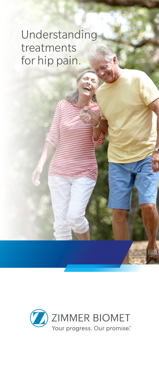# Understanding treatments for hip pain.

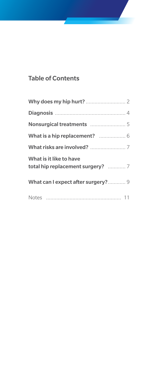### Table of Contents

| What is it like to have<br>total hip replacement surgery?  7 |
|--------------------------------------------------------------|
| What can I expect after surgery? 9                           |
|                                                              |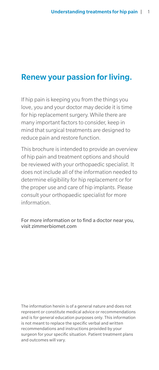# Renew your passion for living.

If hip pain is keeping you from the things you love, you and your doctor may decide it is time for hip replacement surgery. While there are many important factors to consider, keep in mind that surgical treatments are designed to reduce pain and restore function.

This brochure is intended to provide an overview of hip pain and treatment options and should be reviewed with your orthopaedic specialist. It does not include all of the information needed to determine eligibility for hip replacement or for the proper use and care of hip implants. Please consult your orthopaedic specialist for more information.

For more information or to find a doctor near you, visit zimmerbiomet.com

The information herein is of a general nature and does not represent or constitute medical advice or recommendations and is for general education purposes only. This information is not meant to replace the specific verbal and written recommendations and instructions provided by your surgeon for your specific situation. Patient treatment plans and outcomes will vary.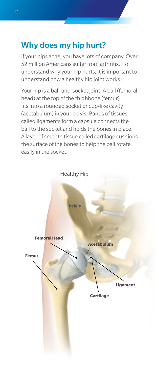# Why does my hip hurt?

If your hips ache, you have lots of company. Over 52 million Americans suffer from arthritis.<sup>1</sup> To understand why your hip hurts, it is important to understand how a healthy hip joint works.

Your hip is a ball-and-socket joint: A ball (femoral head) at the top of the thighbone (femur) fits into a rounded socket or cup-like cavity (acetabulum) in your pelvis. Bands of tissues called ligaments form a capsule connects the ball to the socket and holds the bones in place. A layer of smooth tissue called cartilage cushions the surface of the bones to help the ball rotate easily in the socket.

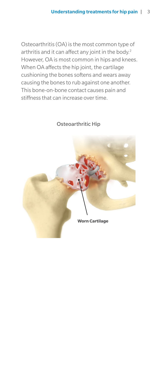Osteoarthritis (OA) is the most common type of arthritis and it can affect any joint in the body. $2$ However, OA is most common in hips and knees. When OA affects the hip joint, the cartilage cushioning the bones softens and wears away causing the bones to rub against one another. This bone-on-bone contact causes pain and stiffness that can increase over time.

### Osteoarthritic Hip

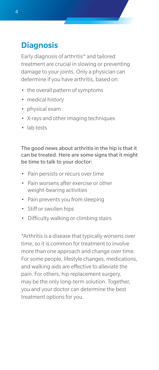# **Diagnosis**

Early diagnosis of arthritis\* and tailored treatment are crucial in slowing or preventing damage to your joints. Only a physician can determine if you have arthritis, based on:

- the overall pattern of symptoms
- medical history
- physical exam
- X-rays and other imaging techniques
- lab tests

The good news about arthritis in the hip is that it can be treated. Here are some signs that it might be time to talk to your doctor:

- Pain persists or recurs over time
- Pain worsens after exercise or other weight-bearing activities
- Pain prevents you from sleeping
- Stiff or swollen hips
- Difficulty walking or climbing stairs

\*Arthritis is a disease that typically worsens over time, so it is common for treatment to involve more than one approach and change over time. For some people, lifestyle changes, medications, and walking aids are effective to alleviate the pain. For others, hip replacement surgery, may be the only long-term solution. Together, you and your doctor can determine the best treatment options for you.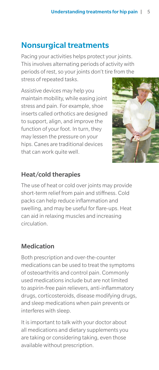# Nonsurgical treatments

Pacing your activities helps protect your joints. This involves alternating periods of activity with periods of rest, so your joints don't tire from the stress of repeated tasks.

Assistive devices may help you maintain mobility, while easing joint stress and pain. For example, shoe inserts called orthotics are designed to support, align, and improve the function of your foot. In turn, they may lessen the pressure on your hips. Canes are traditional devices that can work quite well.



### Heat/cold therapies

The use of heat or cold over joints may provide short-term relief from pain and stiffness. Cold packs can help reduce inflammation and swelling, and may be useful for flare-ups. Heat can aid in relaxing muscles and increasing circulation.

### Medication

Both prescription and over-the-counter medications can be used to treat the symptoms of osteoarthritis and control pain. Commonly used medications include but are not limited to aspirin-free pain relievers, anti-inflammatory drugs, corticosteroids, disease modifying drugs, and sleep medications when pain prevents or interferes with sleep.

It is important to talk with your doctor about all medications and dietary supplements you are taking or considering taking, even those available without prescription.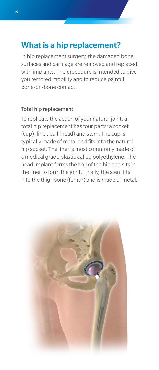# What is a hip replacement?

In hip replacement surgery, the damaged bone surfaces and cartilage are removed and replaced with implants. The procedure is intended to give you restored mobility and to reduce painful bone-on-bone contact.

#### Total hip replacement

To replicate the action of your natural joint, a total hip replacement has four parts: a socket (cup), liner, ball (head) and stem. The cup is typically made of metal and fits into the natural hip socket. The liner is most commonly made of a medical grade plastic called polyethylene. The head implant forms the ball of the hip and sits in the liner to form the joint. Finally, the stem fits into the thighbone (femur) and is made of metal.

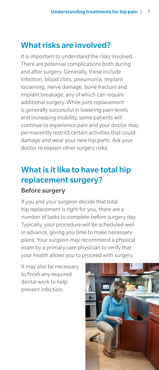# What risks are involved?

It is important to understand the risks involved. There are potential complications both during and after surgery. Generally, these include infection, blood clots, pneumonia, implant loosening, nerve damage, bone fracture and implant breakage; any of which can require additional surgery. While joint replacement is generally successful in lowering pain levels and increasing mobility, some patients will continue to experience pain and your doctor may permanently restrict certain activities that could damage and wear your new hip parts. Ask your doctor to explain other surgery risks.

# What is it like to have total hip replacement surgery?

### Before surgery

If you and your surgeon decide that total hip replacement is right for you, there are a number of tasks to complete before surgery day. Typically, your procedure will be scheduled well in advance, giving you time to make necessary plans. Your surgeon may recommend a physical exam by a primary care physician to verify that your health allows you to proceed with surgery.

It may also be necessary to finish any required dental work to help prevent infection.

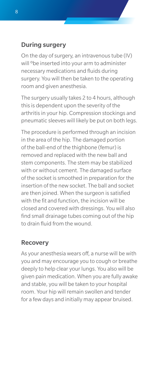### During surgery

On the day of surgery, an intravenous tube (IV) will <sup>o</sup>be inserted into your arm to administer necessary medications and fluids during surgery. You will then be taken to the operating room and given anesthesia.

The surgery usually takes 2 to 4 hours, although this is dependent upon the severity of the arthritis in your hip. Compression stockings and pneumatic sleeves will likely be put on both legs.

The procedure is performed through an incision in the area of the hip. The damaged portion of the ball-end of the thighbone (femur) is removed and replaced with the new ball and stem components. The stem may be stabilized with or without cement. The damaged surface of the socket is smoothed in preparation for the insertion of the new socket. The ball and socket are then joined. When the surgeon is satisfied with the fit and function, the incision will be closed and covered with dressings. You will also find small drainage tubes coming out of the hip to drain fluid from the wound.

### Recovery

As your anesthesia wears off, a nurse will be with you and may encourage you to cough or breathe deeply to help clear your lungs. You also will be given pain medication. When you are fully awake and stable, you will be taken to your hospital room. Your hip will remain swollen and tender for a few days and initially may appear bruised.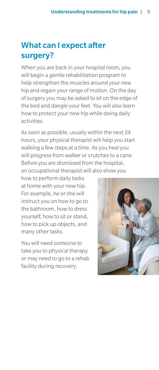# What can I expect after surgery?

When you are back in your hospital room, you will begin a gentle rehabilitation program to help strengthen the muscles around your new hip and regain your range of motion. On the day of surgery you may be asked to sit on the edge of the bed and dangle your feet. You will also learn how to protect your new hip while doing daily activities.

As soon as possible, usually within the next 24 hours, your physical therapist will help you start walking a few steps at a time. As you heal you will progress from walker or crutches to a cane. Before you are dismissed from the hospital, an occupational therapist will also show you

how to perform daily tasks at home with your new hip. For example, he or she will instruct you on how to go to the bathroom, how to dress yourself, how to sit or stand, how to pick up objects, and many other tasks.

You will need someone to take you to physical therapy or may need to go to a rehab facility during recovery.

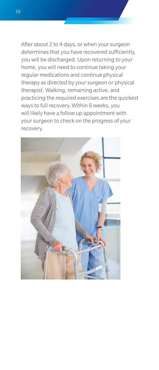After about 2 to 4 days, or when your surgeon determines that you have recovered sufficiently, you will be discharged. Upon returning to your home, you will need to continue taking your regular medications and continue physical therapy as directed by your surgeon or physical therapist. Walking, remaining active, and practicing the required exercises are the quickest ways to full recovery. Within 6 weeks, you will likely have a follow up appointment with your surgeon to check on the progress of your recovery.

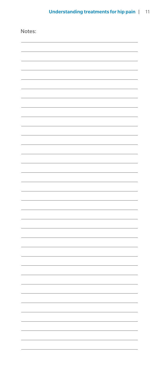| Notes: |    |
|--------|----|
|        |    |
|        |    |
|        |    |
|        |    |
|        |    |
|        |    |
|        |    |
|        |    |
|        |    |
|        |    |
|        |    |
|        |    |
|        |    |
|        |    |
|        |    |
|        |    |
|        |    |
|        |    |
|        |    |
|        |    |
|        | ä, |
|        | í, |
|        |    |
|        |    |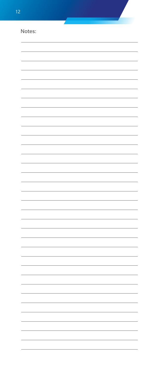| $\overline{2}$ |  |                |
|----------------|--|----------------|
| Notes:         |  |                |
|                |  |                |
|                |  |                |
|                |  |                |
|                |  |                |
|                |  |                |
|                |  |                |
|                |  |                |
|                |  |                |
|                |  |                |
|                |  |                |
|                |  |                |
|                |  |                |
|                |  |                |
|                |  |                |
|                |  |                |
|                |  | ä,             |
|                |  | $\overline{a}$ |
|                |  | ÷              |
|                |  | L,<br>÷        |
|                |  | L,             |
|                |  | ÷,             |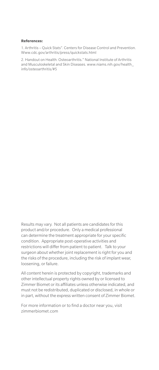#### **References:**

1. Arthritis – Quick Stats". Centers for Disease Control and Prevention. Www.cdc.gov/arthritis/press/quickstats.html

2. Handout on Health: Osteoarthritis." National Institute of Arthritis and Musculoskeletal and Skin Diseases. www.niams.nih.gov/health\_ info/osteoarthritis/#5

Results may vary. Not all patients are candidates for this product and/or procedure. Only a medical professional can determine the treatment appropriate for your specific condition. Appropriate post-operative activities and restrictions will differ from patient to patient. Talk to your surgeon about whether joint replacement is right for you and the risks of the procedure, including the risk of implant wear, loosening, or failure.

All content herein is protected by copyright, trademarks and other intellectual property rights owned by or licensed to Zimmer Biomet or its affiliates unless otherwise indicated, and must not be redistributed, duplicated or disclosed, in whole or in part, without the express written consent of Zimmer Biomet.

For more information or to find a doctor near you, visit zimmerbiomet.com